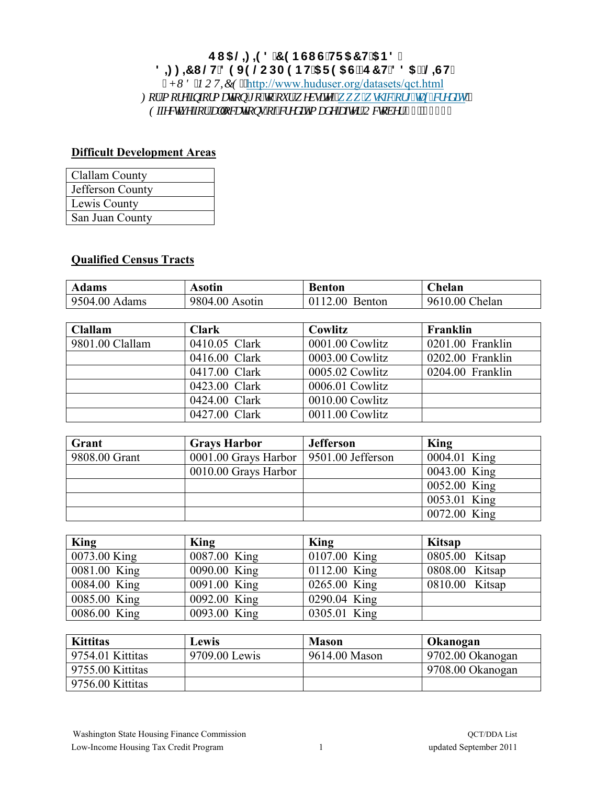## E15@: 9879BGIG'HF57H'5B8 8 = : = 7 | @H89J9 @CDA9BH'5F95G'fE7 H#885 Ł@GH'

, *J WF 'PQVKEG*<<http://www.huduser.org/datasets/qct.html> *Hqt"o qtg"kphqto cvkqp"t q"vq"qvt"y gdukvg* $\langle y, y, 0 \rangle$  *uj he0qti kxz/etgf kul"' (IIIFevkxg'lgt'cmgecvkgpu'gliet gf kv'o cf g'chgt'Qevgdgt'53."4233"* 

## **Difficult Development Areas**

| Clallam County   |
|------------------|
| Jefferson County |
| Lewis County     |
| San Juan County  |

## **Qualified Census Tracts**

| <b>Adams</b>  | Asotın         | Benton         | helan)         |
|---------------|----------------|----------------|----------------|
| 9504.00 Adams | 9804.00 Asotin | 0112.00 Benton | 9610.00 Chelan |

| Clallam         | <b>Clark</b>  | Cowlitz         | Franklin         |
|-----------------|---------------|-----------------|------------------|
| 9801.00 Clallam | 0410.05 Clark | 0001.00 Cowlitz | 0201.00 Franklin |
|                 | 0416.00 Clark | 0003.00 Cowlitz | 0202.00 Franklin |
|                 | 0417.00 Clark | 0005.02 Cowlitz | 0204.00 Franklin |
|                 | 0423.00 Clark | 0006.01 Cowlitz |                  |
|                 | 0424.00 Clark | 0010.00 Cowlitz |                  |
|                 | 0427.00 Clark | 0011.00 Cowlitz |                  |

| Grant         | <b>Grays Harbor</b>                      | <b>Jefferson</b> | King         |
|---------------|------------------------------------------|------------------|--------------|
| 9808.00 Grant | 0001.00 Grays Harbor   9501.00 Jefferson |                  | 0004.01 King |
|               | 0010.00 Grays Harbor                     |                  | 0043.00 King |
|               |                                          |                  | 0052.00 King |
|               |                                          |                  | 0053.01 King |
|               |                                          |                  | 0072.00 King |

| <b>King</b>  | King         | King         | Kitsap         |
|--------------|--------------|--------------|----------------|
| 0073.00 King | 0087.00 King | 0107.00 King | 0805.00 Kitsap |
| 0081.00 King | 0090.00 King | 0112.00 King | 0808.00 Kitsap |
| 0084.00 King | 0091.00 King | 0265.00 King | 0810.00 Kitsap |
| 0085.00 King | 0092.00 King | 0290.04 King |                |
| 0086.00 King | 0093.00 King | 0305.01 King |                |

| <b>Kittitas</b>  | Lewis         | <b>Mason</b>  | Okanogan          |
|------------------|---------------|---------------|-------------------|
| 9754.01 Kittitas | 9709.00 Lewis | 9614.00 Mason | 19702.00 Okanogan |
| 9755.00 Kittitas |               |               | 9708.00 Okanogan  |
| 9756.00 Kittitas |               |               |                   |